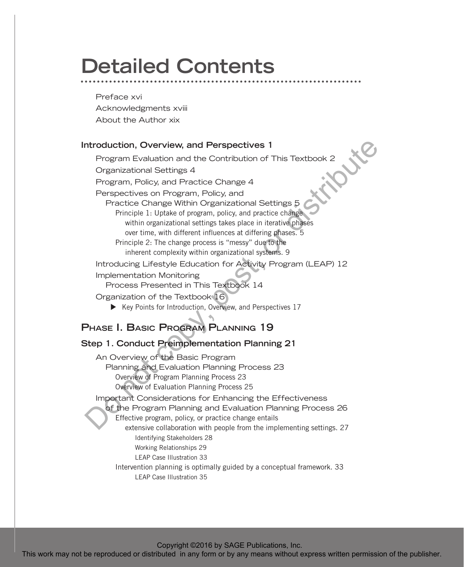# **Detailed Contents**

Preface xvi Acknowledgments xviii About the Author xix

#### **Introduction, Overview, and Perspectives 1**

Program Evaluation and the Contribution of This Textbook 2<br>Organizational Settings 4<br>Program, Policy, and Practice Change 4<br>Perspectives on Program Theories Organizational Settings 4 Program, Policy, and Practice Change 4 Perspectives on Program, Policy, and Practice Change Within Organizational Settings 5 Principle 1: Uptake of program, policy, and practice change within organizational settings takes place in iterative phases over time, with different influences at differing phases. 5 Principle 2: The change process is "messy" due to the inherent complexity within organizational systems. 9 Introducing Lifestyle Education for Activity Program (LEAP) 12 Implementation Monitoring Process Presented in This Textbook 14 Organization of the Textbook 16  $\blacktriangleright$  Key Points for Introduction, Overview, and Perspectives 17 **Phase I. Basic Program Planning 19 Step 1. Conduct Preimplementation Planning 21** Introduced or distributed in any form or distributed in any form or the publisher.<br>
Program Pology and Practice Change 4<br>
Providing Change within Organizational Settings B<br>
Providing Change within Organizational Settings

An Overview of the Basic Program Planning and Evaluation Planning Process 23 Overview of Program Planning Process 23 Overview of Evaluation Planning Process 25 Important Considerations for Enhancing the Effectiveness of the Program Planning and Evaluation Planning Process 26 Effective program, policy, or practice change entails extensive collaboration with people from the implementing settings. 27 Identifying Stakeholders 28 Working Relationships 29 LEAP Case Illustration 33 Intervention planning is optimally guided by a conceptual framework. 33

LEAP Case Illustration 35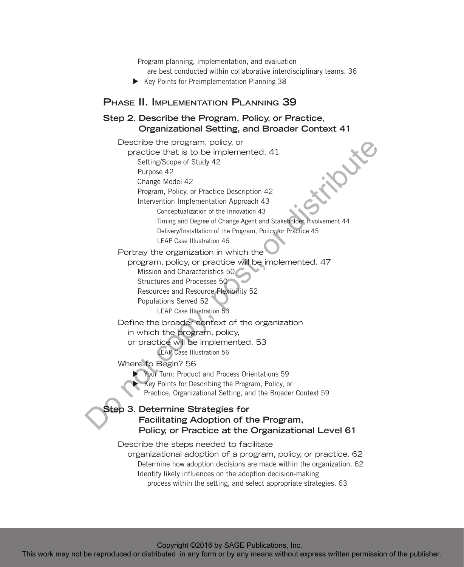Program planning, implementation, and evaluation

- are best conducted within collaborative interdisciplinary teams. 36
- $\blacktriangleright$  Key Points for Preimplementation Planning 38

#### **Phase II. Implementation Planning 39**

## **Step 2. Describe the Program, Policy, or Practice, Organizational Setting, and Broader Context 41**

Describe the program, policy, or practice that is to be implemented. 41 Setting/Scope of Study 42 Purpose 42 Change Model 42 Program, Policy, or Practice Description 42 Intervention Implementation Approach 43 Conceptualization of the Innovation 43 Timing and Degree of Change Agent and Stakeholder Involvement 44 Delivery/Installation of the Program, Policy, or Practice 45 LEAP Case Illustration 46 Portray the organization in which the program, policy, or practice will be implemented. 47 Mission and Characteristics 50 Structures and Processes 50 Resources and Resource Flexibility 52 Populations Served 52 LEAP Case Illustration 53 Define the broader context of the organization in which the program, policy, or practice will be implemented. 53 LEAP Case Illustration 56 Where to Begin? 56 Your Turn: Product and Process Orientations 59 Key Points for Describing the Program, Policy, or Practice, Organizational Setting, and the Broader Context 59 **Step 3. Determine Strategies for Facilitating Adoption of the Program, Policy, or Practice at the Organizational Level 61** Describe the steps needed to facilitate organizational adoption of a program, policy, or practice. 62 Determine how adoption decisions are made within the organization. 62 Identify likely influences on the adoption decision-making Describute the borogen college of the publisher and the publisher or distributed in any form or by any means without express without express the publisher of the means and the publisher of the publisher or distributed in

Copyright ©2016 by SAGE Publications, Inc.

process within the setting, and select appropriate strategies. 63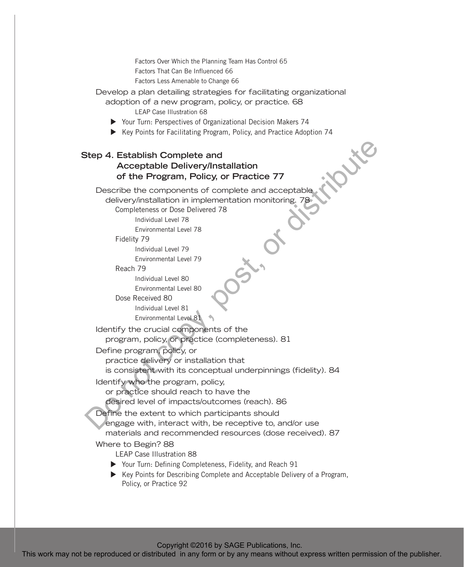Factors Over Which the Planning Team Has Control 65 Factors That Can Be Influenced 66 Factors Less Amenable to Change 66

Develop a plan detailing strategies for facilitating organizational

adoption of a new program, policy, or practice. 68 LEAP Case Illustration 68

- $\triangleright$  Your Turn: Perspectives of Organizational Decision Makers 74
- Key Points for Facilitating Program, Policy, and Practice Adoption 74

### **Step 4. Establish Complete and Acceptable Delivery/Installation of the Program, Policy, or Practice 77**

Describe the components of complete and acceptable delivery/installation in implementation monitoring. 78 Completeness or Dose Delivered 78 Individual Level 78 Environmental Level 78 Fidelity 79 Individual Level 79 Environmental Level 79 Reach 79 Individual Level 80 Environmental Level 80 Dose Received 80 Individual Level 81 Environmental Level 81 Identify the crucial components of the program, policy, or practice (completeness). 81 Define program, policy, or practice delivery or installation that is consistent with its conceptual underpinnings (fidelity). 84 Identify who the program, policy, or practice should reach to have the desired level of impacts/outcomes (reach). 86 Define the extent to which participants should engage with, interact with, be receptive to, and/or use materials and recommended resources (dose received). 87 Where to Begin? 88 LEAP Case Illustration 88 ▶ Your Turn: Defining Completeness, Fidelity, and Reach 91 Step 4. Establish Complete and<br>
or the Program, Policy, or Practice 77<br>
Describe express of complete and accorptancy<br>
desverse and accorptancy<br>
completes written in the contract or distributed in any means when the comple

▶ Key Points for Describing Complete and Acceptable Delivery of a Program, Policy, or Practice 92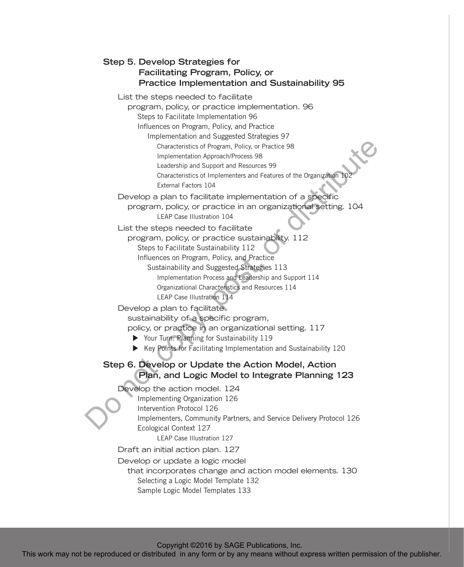| Step 5. Develop Strategies for                                                                                                                                                                                                                                                                                                                                             |
|----------------------------------------------------------------------------------------------------------------------------------------------------------------------------------------------------------------------------------------------------------------------------------------------------------------------------------------------------------------------------|
| Facilitating Program, Policy, or                                                                                                                                                                                                                                                                                                                                           |
| <b>Practice Implementation and Sustainability 95</b>                                                                                                                                                                                                                                                                                                                       |
| List the steps needed to facilitate<br>program, policy, or practice implementation. 96<br>Steps to Facilitate Implementation 96                                                                                                                                                                                                                                            |
| Influences on Program, Policy, and Practice<br>Implementation and Suggested Strategies 97<br>Characteristics of Program, Policy, or Practice 98<br>Implementation Approach/Process 98                                                                                                                                                                                      |
| Leadership and Support and Resources 99<br>Characteristics of Implementers and Features of the Organization 102<br>External Factors 104                                                                                                                                                                                                                                    |
| Develop a plan to facilitate implementation of a specific<br>program, policy, or practice in an organizational setting. 104<br><b>LEAP Case Illustration 104</b>                                                                                                                                                                                                           |
| List the steps needed to facilitate<br>program, policy, or practice sustainability. 112<br>Steps to Facilitate Sustainability 112<br>Influences on Program, Policy, and Practice<br>Sustainability and Suggested Strategies 113<br>Implementation Process and Leadership and Support 114<br>Organizational Characteristics and Resources 114<br>LEAP Case Illustration 114 |
| Develop a plan to facilitate.<br>sustainability of a specific program,<br>policy, or practice in an organizational setting. 117<br>▶ Your Turn: Planning for Sustainability 119<br>▶ Key Points for Facilitating Implementation and Sustainability 120                                                                                                                     |
| Step 6. Develop or Update the Action Model, Action<br>Plan, and Logic Model to Integrate Planning 123                                                                                                                                                                                                                                                                      |
| Develop the action model. 124<br>Implementing Organization 126<br>Intervention Protocol 126<br>Implementers, Community Partners, and Service Delivery Protocol 126<br>Ecological Context 127<br><b>LEAP Case Illustration 127</b>                                                                                                                                          |
| Draft an initial action plan. 127<br>Develop or update a logic model<br>that incorporates change and action model elements. 130<br>Selecting a Logic Model Template 132                                                                                                                                                                                                    |
| Sample Logic Model Templates 133                                                                                                                                                                                                                                                                                                                                           |
| Copyright ©2016 by SAGE Publications, Inc.<br>This work may not be reproduced or distributed in any form or by any means without express written permission of the publisher.                                                                                                                                                                                              |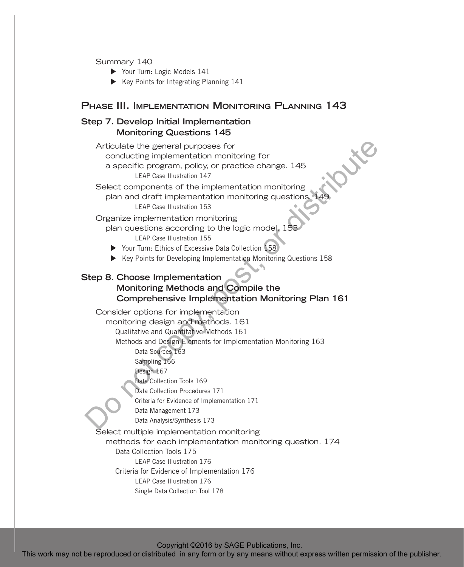Summary 140

- $\triangleright$  Your Turn: Logic Models 141
- $\blacktriangleright$  Key Points for Integrating Planning 141

#### **Phase III. Implementation Monitoring Planning 143**

## **Step 7. Develop Initial Implementation Monitoring Questions 145**

Articulate the general purposes for conducting implementation monitoring for a specific program, policy, or practice change. 145 LEAP Case Illustration 147

Select components of the implementation monitoring plan and draft implementation monitoring questions. 149 LEAP Case Illustration 153

#### Organize implementation monitoring

plan questions according to the logic model. 153 LEAP Case Illustration 155

- ▶ Your Turn: Ethics of Excessive Data Collection 158
- $\blacktriangleright$  Key Points for Developing Implementation Monitoring Questions 158

### **Step 8. Choose Implementation**

## **Monitoring Methods and Compile the Comprehensive Implementation Monitoring Plan 161**

Consider options for implementation monitoring design and methods. 161 Qualitative and Quantitative Methods 161 Methods and Design Elements for Implementation Monitoring 163 Data Sources 163 Sampling 166 Design 167 Data Collection Tools 169 Data Collection Procedures 171 Criteria for Evidence of Implementation 171 Data Management 173 Data Analysis/Synthesis 173 Select multiple implementation monitoring methods for each implementation monitoring question. 174 Data Collection Tools 175 LEAP Case Illustration 176 Criteria for Evidence of Implementation 176 LEAP Case Illustration 176 Single Data Collection Tool 178 Archives the general survey considering from the reproduced or distributed in any form or by any means without express the reproduced in any means without the reproduced in any means with the publisher. Or a consider a co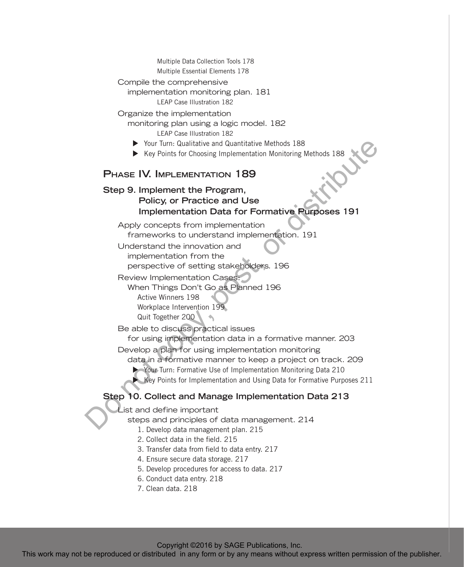| Multiple Data Collection Tools 178<br>Multiple Essential Elements 178                                                                                                         |
|-------------------------------------------------------------------------------------------------------------------------------------------------------------------------------|
|                                                                                                                                                                               |
| Compile the comprehensive                                                                                                                                                     |
| implementation monitoring plan. 181<br><b>LEAP Case Illustration 182</b>                                                                                                      |
| Organize the implementation                                                                                                                                                   |
|                                                                                                                                                                               |
| monitoring plan using a logic model. 182<br>LEAP Case Illustration 182                                                                                                        |
|                                                                                                                                                                               |
| ▶ Your Turn: Qualitative and Quantitative Methods 188                                                                                                                         |
| ▶ Key Points for Choosing Implementation Monitoring Methods 188                                                                                                               |
| <b>PHASE IV. IMPLEMENTATION 189</b>                                                                                                                                           |
| Step 9. Implement the Program,                                                                                                                                                |
| Policy, or Practice and Use                                                                                                                                                   |
|                                                                                                                                                                               |
| <b>Implementation Data for Formative Purposes 191</b>                                                                                                                         |
| Apply concepts from implementation                                                                                                                                            |
| frameworks to understand implementation. 191                                                                                                                                  |
| Understand the innovation and                                                                                                                                                 |
| implementation from the                                                                                                                                                       |
| perspective of setting stakeholders. 196                                                                                                                                      |
|                                                                                                                                                                               |
| Review Implementation Cases:                                                                                                                                                  |
| When Things Don't Go as Planned 196                                                                                                                                           |
| Active Winners 198                                                                                                                                                            |
| Workplace Intervention 199                                                                                                                                                    |
| Quit Together 200                                                                                                                                                             |
| Be able to discuss practical issues                                                                                                                                           |
| for using implementation data in a formative manner. 203                                                                                                                      |
| Develop a plan for using implementation monitoring                                                                                                                            |
| data in a formative manner to keep a project on track. 209                                                                                                                    |
| Your Turn: Formative Use of Implementation Monitoring Data 210                                                                                                                |
| Key Points for Implementation and Using Data for Formative Purposes 211                                                                                                       |
|                                                                                                                                                                               |
| Step 10. Collect and Manage Implementation Data 213                                                                                                                           |
| List and define important                                                                                                                                                     |
| steps and principles of data management. 214                                                                                                                                  |
| 1. Develop data management plan. 215                                                                                                                                          |
| 2. Collect data in the field, 215                                                                                                                                             |
| 3. Transfer data from field to data entry. 217                                                                                                                                |
| 4. Ensure secure data storage. 217                                                                                                                                            |
| 5. Develop procedures for access to data. 217                                                                                                                                 |
| 6. Conduct data entry. 218                                                                                                                                                    |
| 7. Clean data. 218                                                                                                                                                            |
|                                                                                                                                                                               |
|                                                                                                                                                                               |
|                                                                                                                                                                               |
|                                                                                                                                                                               |
| Copyright ©2016 by SAGE Publications, Inc.<br>This work may not be reproduced or distributed in any form or by any means without express written permission of the publisher. |
|                                                                                                                                                                               |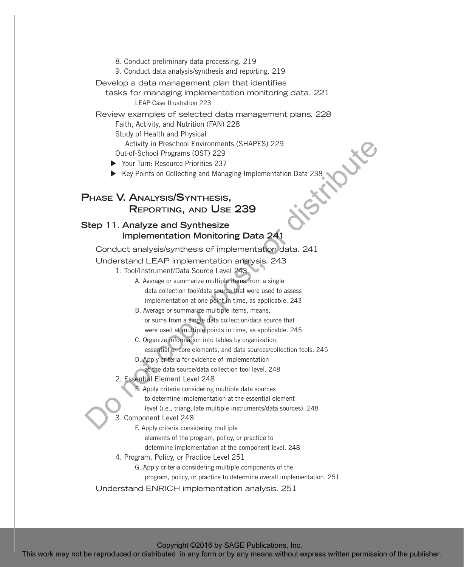- 8. Conduct preliminary data processing. 219
- 9. Conduct data analysis/synthesis and reporting. 219
- Develop a data management plan that identifies
	- tasks for managing implementation monitoring data. 221 LEAP Case Illustration 223

Review examples of selected data management plans. 228

Faith, Activity, and Nutrition (FAN) 228

Study of Health and Physical

Activity in Preschool Environments (SHAPES) 229

Out-of-School Programs (OST) 229

▶ Your Turn: Resource Priorities 237

 $\blacktriangleright$  Key Points on Collecting and Managing Implementation Data 238

## **Phase V. Analysis/Synthesis, Reporting, and Use 239**

### **Step 11. Analyze and Synthesize Implementation Monitoring Data 241**

Conduct analysis/synthesis of implementation data. 241

Understand LEAP implementation analysis. 243

- 1. Tool/Instrument/Data Source Level 243
- A. Average or summarize multiple items from a single data collection tool/data source that were used to assess implementation at one point in time, as applicable. 243 This work may not be reproduced or distributed in any form or by any means without express written permission of the publisher. Do not copy, post, or distribute
	- B. Average or summarize multiple items, means, or sums from a single data collection/data source that were used at multiple points in time, as applicable. 245
	- C. Organize information into tables by organization, essential or core elements, and data sources/collection tools. 245
	- D. Apply criteria for evidence of implementation
		- at the data source/data collection tool level. 248
	- 2. Essential Element Level 248

E. Apply criteria considering multiple data sources

to determine implementation at the essential element

level (i.e., triangulate multiple instruments/data sources). 248

#### 3. Component Level 248

F. Apply criteria considering multiple

elements of the program, policy, or practice to

determine implementation at the component level. 248

4. Program, Policy, or Practice Level 251

G. Apply criteria considering multiple components of the

program, policy, or practice to determine overall implementation. 251

Understand ENRICH implementation analysis. 251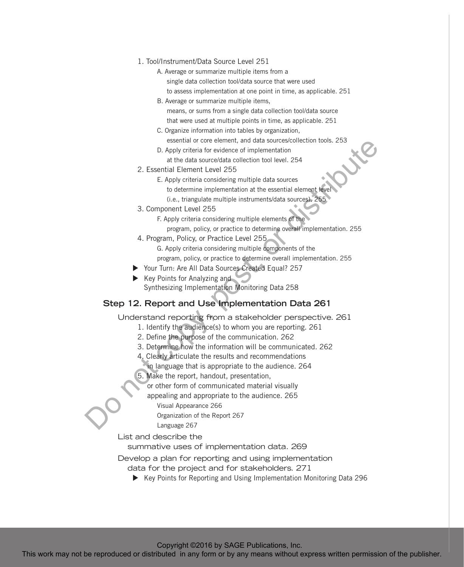- 1. Tool/Instrument/Data Source Level 251
	- A. Average or summarize multiple items from a single data collection tool/data source that were used to assess implementation at one point in time, as applicable. 251
	- B. Average or summarize multiple items, means, or sums from a single data collection tool/data source that were used at multiple points in time, as applicable. 251
	- C. Organize information into tables by organization, essential or core element, and data sources/collection tools. 253
	- D. Apply criteria for evidence of implementation
		- at the data source/data collection tool level. 254
- 2. Essential Element Level 255
	- E. Apply criteria considering multiple data sources
		- to determine implementation at the essential element level
		- (i.e., triangulate multiple instruments/data sources). 255
- 3. Component Level 255
	- F. Apply criteria considering multiple elements of the
		- program, policy, or practice to determine overall implementation. 255
- 4. Program, Policy, or Practice Level 255
	- G. Apply criteria considering multiple components of the
	- program, policy, or practice to determine overall implementation. 255
- ▶ Your Turn: Are All Data Sources Created Equal? 257
- $\blacktriangleright$  Key Points for Analyzing and Synthesizing Implementation Monitoring Data 258

#### **Step 12. Report and Use Implementation Data 261**

Understand reporting from a stakeholder perspective. 261

- 1. Identify the audience(s) to whom you are reporting. 261
- 2. Define the purpose of the communication. 262
- 3. Determine how the information will be communicated. 262
- 4. Clearly articulate the results and recommendations
- in language that is appropriate to the audience. 264
- 5. Make the report, handout, presentation,
	- or other form of communicated material visually
	- appealing and appropriate to the audience. 265
		- Visual Appearance 266

Organization of the Report 267

Language 267

List and describe the

summative uses of implementation data. 269

Develop a plan for reporting and using implementation

- data for the project and for stakeholders. 271
	- ▶ Key Points for Reporting and Using Implementation Monitoring Data 296

Copyright ©2016 by SAGE Publications, Inc.

This work may not be reproduced to the reproduced or distributed in any form or by any means without express the reproduced in any form or by any means without express the reproduced in any form of the publisher. This com